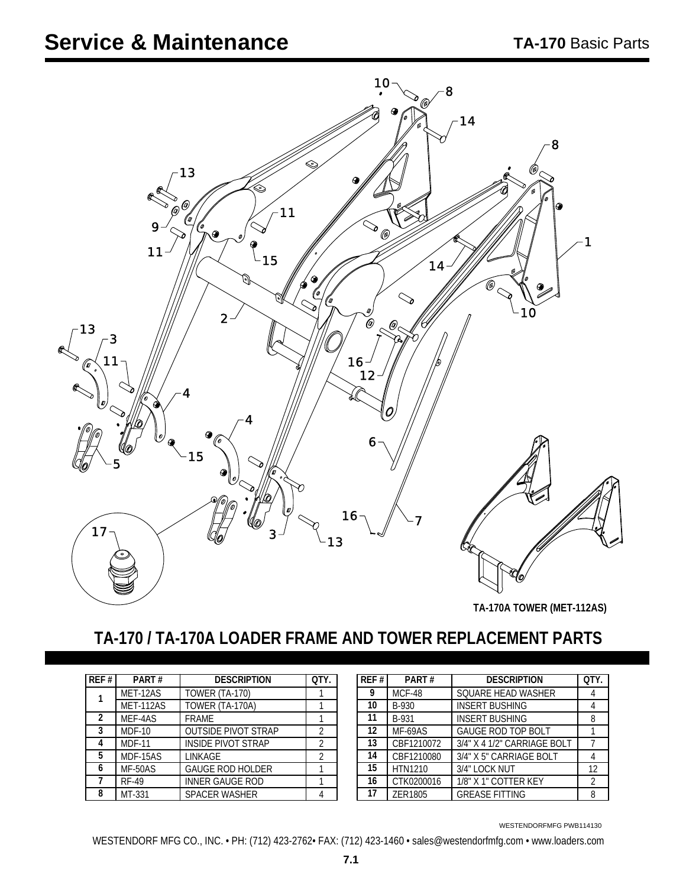

**TA-170A TOWER (MET-112AS)**

### **TA-170 / TA-170A LOADER FRAME AND TOWER REPLACEMENT PARTS**

| REF#           | PART#         | <b>DESCRIPTION</b>         | OTY.           |
|----------------|---------------|----------------------------|----------------|
|                | MET-12AS      | <b>TOWER (TA-170)</b>      |                |
|                | MET-112AS     | TOWER (TA-170A)            |                |
| $\overline{2}$ | MEF-4AS       | <b>FRAME</b>               |                |
| 3              | $MDF-10$      | <b>OUTSIDE PIVOT STRAP</b> | $\mathfrak{D}$ |
| 4              | <b>MDF-11</b> | <b>INSIDE PIVOT STRAP</b>  | $\mathfrak{D}$ |
| 5              | MDF-15AS      | <b>LINKAGE</b>             | $\mathcal{P}$  |
| 6              | MF-50AS       | <b>GAUGE ROD HOLDER</b>    |                |
|                | <b>RF-49</b>  | <b>INNER GAUGE ROD</b>     |                |
| 8              | MT-331        | SPACER WASHER              |                |

| REF#              | PART#         | <b>DESCRIPTION</b>          | OTY. |
|-------------------|---------------|-----------------------------|------|
| 9                 | <b>MCF-48</b> | SQUARE HEAD WASHER          |      |
| 10 <sup>°</sup>   | B-930         | <b>INSERT BUSHING</b>       |      |
| 11                | B-931         | <b>INSERT BUSHING</b>       | 8    |
| $12 \overline{ }$ | MF-69AS       | <b>GAUGE ROD TOP BOLT</b>   |      |
| 13                | CBF1210072    | 3/4" X 4 1/2" CARRIAGE BOLT |      |
| 14                | CBF1210080    | 3/4" X 5" CARRIAGE BOLT     |      |
| 15                | HTN1210       | 3/4" LOCK NUT               | 12   |
| 16                | CTK0200016    | 1/8" X 1" COTTER KEY        | 2    |
| 17                | ZER1805       | <b>GREASE FITTING</b>       | 8    |

WESTENDORFMFG PWB114130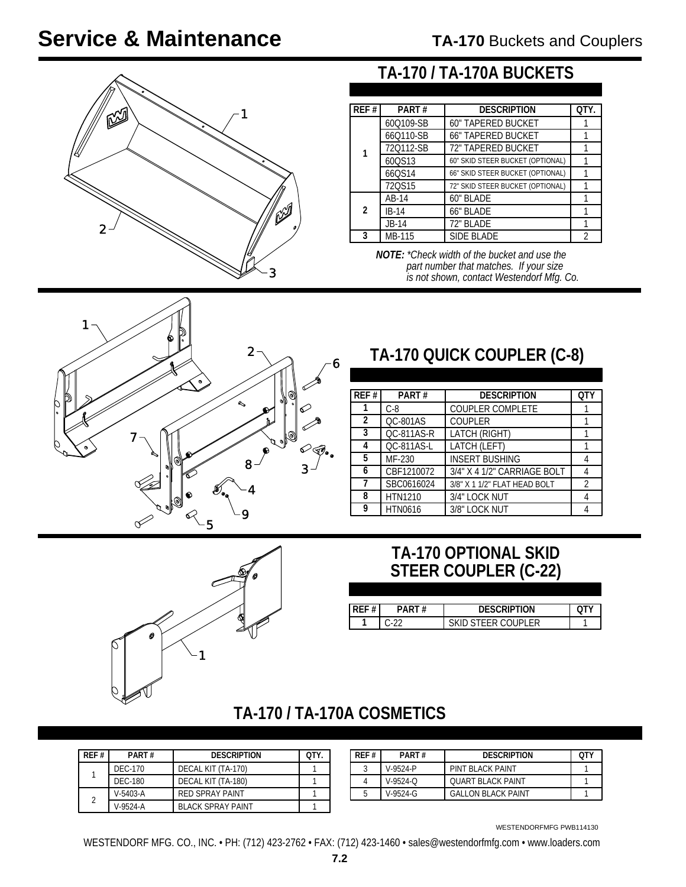# **Service & Maintenance**



#### **TA-170 / TA-170A BUCKETS**

| REF#           | PART#     | <b>DESCRIPTION</b>               | OTY. |
|----------------|-----------|----------------------------------|------|
|                | 60Q109-SB | <b>60" TAPERED BUCKET</b>        |      |
|                | 66Q110-SB | <b>66" TAPERED BUCKET</b>        |      |
|                | 720112-SB | 72" TAPERED BUCKET               |      |
|                | 600S13    | 60" SKID STEER BUCKET (OPTIONAL) |      |
|                | 66QS14    | 66" SKID STEER BUCKET (OPTIONAL) |      |
|                | 720S15    | 72" SKID STEER BUCKET (OPTIONAL) |      |
|                | AB-14     | 60" BLADE                        |      |
| $\mathfrak{p}$ | $IB-14$   | 66" BLADE                        |      |
|                | $JB-14$   | 72" BLADE                        |      |
|                | MB-115    | <b>SIDE BLADE</b>                | 2    |

*NOTE: \*Check width of the bucket and use the part number that matches. If your size is not shown, contact Westendorf Mfg. Co.*



## **TA-170 QUICK COUPLER (C-8)**

| REF#           | PART#           | <b>DESCRIPTION</b>           | 0T |
|----------------|-----------------|------------------------------|----|
|                | $C-8$           | <b>COUPLER COMPLETE</b>      |    |
| $\overline{2}$ | <b>QC-801AS</b> | <b>COUPLER</b>               |    |
| 3              | QC-811AS-R      | LATCH (RIGHT)                |    |
| 4              | QC-811AS-L      | LATCH (LEFT)                 |    |
| 5              | MF-230          | <b>INSERT BUSHING</b>        |    |
| 6              | CBF1210072      | 3/4" X 4 1/2" CARRIAGE BOLT  |    |
|                | SBC0616024      | 3/8" X 1 1/2" FLAT HEAD BOLT | 2  |
| 8              | <b>HTN1210</b>  | 3/4" LOCK NUT                |    |
| 9              | <b>HTN0616</b>  | 3/8" LOCK NUT                |    |

#### **TA-170 OPTIONAL SKID STEER COUPLER (C-22)**

| # |    | <b>DESCRIPTION</b> |  |
|---|----|--------------------|--|
|   | ົດ | א וחוור<br>I L L D |  |



#### **TA-170 / TA-170A COSMETICS**

| RFF#                     | PART#          | <b>DESCRIPTION</b>       | OTY. |
|--------------------------|----------------|--------------------------|------|
|                          | DEC-170        | DECAL KIT (TA-170)       |      |
|                          | <b>DEC-180</b> | DECAL KIT (TA-180)       |      |
|                          | $V - 5403 - A$ | <b>RED SPRAY PAINT</b>   |      |
| $\overline{\mathcal{L}}$ | $V-9524-A$     | <b>BLACK SPRAY PAINT</b> |      |

| RFF# | PART#      | <b>DESCRIPTION</b>        | OTV |
|------|------------|---------------------------|-----|
|      | V-9524-P   | PINT BI ACK PAINT         |     |
|      | $V-9524-C$ | OUART BLACK PAINT         |     |
|      | $V-9524-G$ | <b>GALLON BLACK PAINT</b> |     |

WESTENDORFMFG PWB114130

WESTENDORF MFG. CO., INC. • PH: (712) 423-2762 • FAX: (712) 423-1460 • sales@westendorfmfg.com • www.loaders.com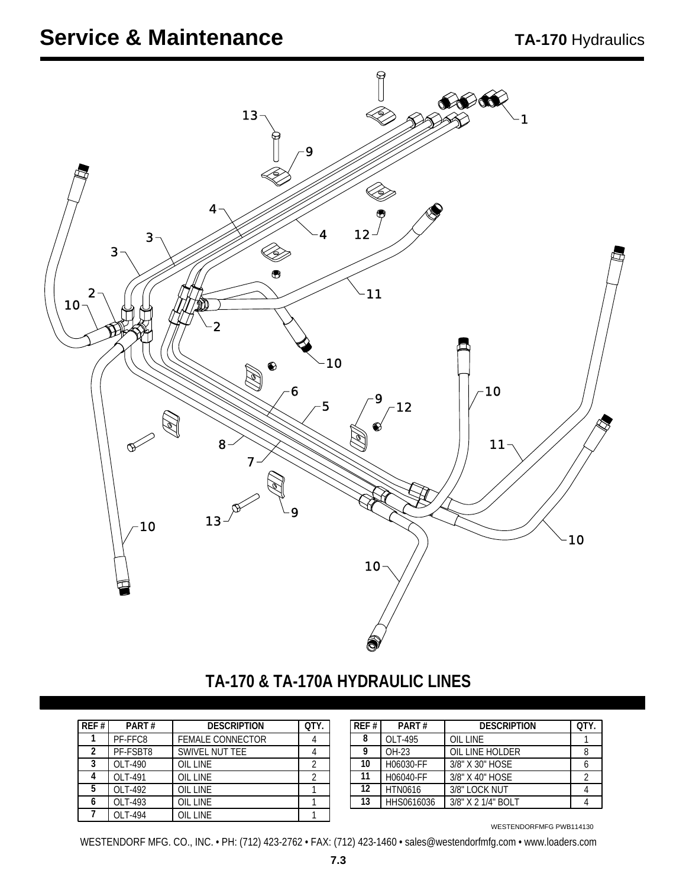## **Service & Maintenance**



### **TA-170 & TA-170A HYDRAULIC LINES**

| REF# | PART#    | <b>DESCRIPTION</b>      | OTY. | REF# | PART#          | <b>DESCRIPTION</b> | OTY. |
|------|----------|-------------------------|------|------|----------------|--------------------|------|
|      | PF-FFC8  | <b>FEMALE CONNECTOR</b> |      | 8    | OLT-495        | <b>OIL LINE</b>    |      |
|      | PF-FSBT8 | SWIVEL NUT TEE          |      | Q    | OH-23          | OIL LINE HOLDER    |      |
|      | OLT-490  | OIL LINE                | ◠    | 10   | H06030-FF      | 3/8" X 30" HOSE    |      |
|      | OLT-491  | OIL LINE                |      | 11   | H06040-FF      | 3/8" X 40" HOSE    |      |
|      | OLT-492  | OIL LINE                |      | 12   | <b>HTN0616</b> | 3/8" LOCK NUT      |      |
|      | OLT-493  | OIL LINE                |      | 13   | HHS0616036     | 3/8" X 2 1/4" BOLT |      |
|      | OLT-494  | <b>OIL LINE</b>         |      |      |                |                    |      |

| l REF # l | PART#          | <b>DESCRIPTION</b> | OTY. |
|-----------|----------------|--------------------|------|
| 8         | OLT-495        | OIL LINE           |      |
| Q         | OH-23          | OIL LINE HOLDER    |      |
| 10        | H06030-FF      | 3/8" X 30" HOSE    |      |
| 11        | H06040-FF      | 3/8" X 40" HOSE    |      |
| $12 \,$   | <b>HTN0616</b> | 3/8" LOCK NUT      |      |
| 13        | HHS0616036     | 3/8" X 2 1/4" BOLT |      |

WESTENDORFMFG PWB114130

WESTENDORF MFG. CO., INC. • PH: (712) 423-2762 • FAX: (712) 423-1460 • sales@westendorfmfg.com • www.loaders.com